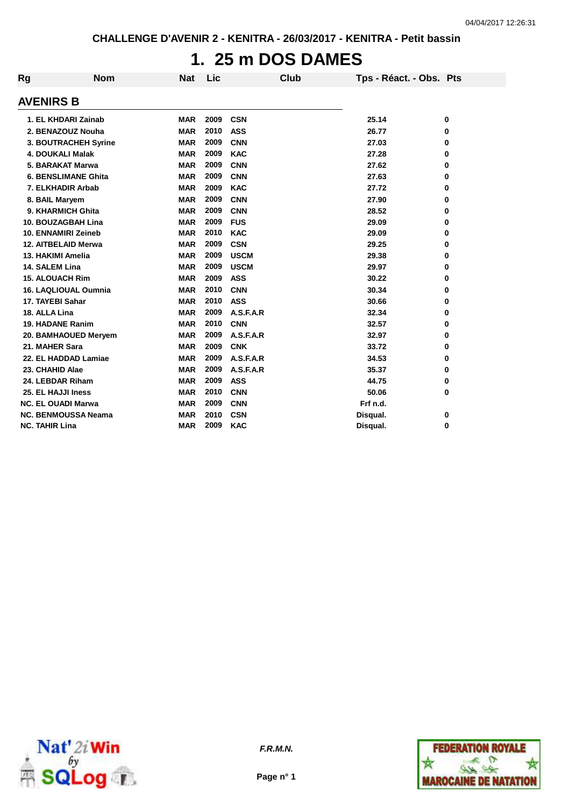# **1. 25 m DOS DAMES**

| Rg                    | <b>Nom</b>                  | <b>Nat</b> | Lic  | Club        | Tps - Réact. - Obs. Pts |   |
|-----------------------|-----------------------------|------------|------|-------------|-------------------------|---|
| <b>AVENIRS B</b>      |                             |            |      |             |                         |   |
|                       | 1. EL KHDARI Zainab         | <b>MAR</b> | 2009 | <b>CSN</b>  | 25.14                   | 0 |
|                       | 2. BENAZOUZ Nouha           | <b>MAR</b> | 2010 | <b>ASS</b>  | 26.77                   | 0 |
|                       | 3. BOUTRACHEH Syrine        | <b>MAR</b> | 2009 | <b>CNN</b>  | 27.03                   | 0 |
|                       | <b>4. DOUKALI Malak</b>     | <b>MAR</b> | 2009 | <b>KAC</b>  | 27.28                   | 0 |
|                       | 5. BARAKAT Marwa            | <b>MAR</b> | 2009 | <b>CNN</b>  | 27.62                   | 0 |
|                       | <b>6. BENSLIMANE Ghita</b>  | <b>MAR</b> | 2009 | <b>CNN</b>  | 27.63                   | 0 |
|                       | 7. ELKHADIR Arbab           | <b>MAR</b> | 2009 | <b>KAC</b>  | 27.72                   | 0 |
| 8. BAIL Maryem        |                             | <b>MAR</b> | 2009 | <b>CNN</b>  | 27.90                   | 0 |
|                       | 9. KHARMICH Ghita           | <b>MAR</b> | 2009 | <b>CNN</b>  | 28.52                   | 0 |
|                       | 10. BOUZAGBAH Lina          | <b>MAR</b> | 2009 | <b>FUS</b>  | 29.09                   | 0 |
|                       | <b>10. ENNAMIRI Zeineb</b>  | <b>MAR</b> | 2010 | <b>KAC</b>  | 29.09                   | 0 |
|                       | 12. AITBELAID Merwa         | <b>MAR</b> | 2009 | <b>CSN</b>  | 29.25                   | 0 |
|                       | 13. HAKIMI Amelia           | <b>MAR</b> | 2009 | <b>USCM</b> | 29.38                   | 0 |
| 14. SALEM Lina        |                             | <b>MAR</b> | 2009 | <b>USCM</b> | 29.97                   | 0 |
|                       | <b>15. ALOUACH Rim</b>      | <b>MAR</b> | 2009 | <b>ASS</b>  | 30.22                   | 0 |
|                       | <b>16. LAQLIOUAL Oumnia</b> | <b>MAR</b> | 2010 | <b>CNN</b>  | 30.34                   | 0 |
| 17. TAYEBI Sahar      |                             | <b>MAR</b> | 2010 | <b>ASS</b>  | 30.66                   | 0 |
| 18. ALLA Lina         |                             | <b>MAR</b> | 2009 | A.S.F.A.R   | 32.34                   | 0 |
|                       | <b>19. HADANE Ranim</b>     | <b>MAR</b> | 2010 | <b>CNN</b>  | 32.57                   | 0 |
|                       | 20. BAMHAOUED Meryem        | <b>MAR</b> | 2009 | A.S.F.A.R   | 32.97                   | 0 |
| 21. MAHER Sara        |                             | <b>MAR</b> | 2009 | <b>CNK</b>  | 33.72                   | 0 |
|                       | 22. EL HADDAD Lamiae        | <b>MAR</b> | 2009 | A.S.F.A.R   | 34.53                   | 0 |
| 23. CHAHID Alae       |                             | <b>MAR</b> | 2009 | A.S.F.A.R   | 35.37                   | 0 |
|                       | 24. LEBDAR Riham            | <b>MAR</b> | 2009 | <b>ASS</b>  | 44.75                   | 0 |
|                       | 25. EL HAJJI Iness          | <b>MAR</b> | 2010 | <b>CNN</b>  | 50.06                   | 0 |
|                       | <b>NC. EL OUADI Marwa</b>   | <b>MAR</b> | 2009 | <b>CNN</b>  | Frf n.d.                |   |
|                       | <b>NC. BENMOUSSA Neama</b>  | <b>MAR</b> | 2010 | <b>CSN</b>  | Disqual.                | 0 |
| <b>NC. TAHIR Lina</b> |                             | <b>MAR</b> | 2009 | <b>KAC</b>  | Disqual.                | 0 |



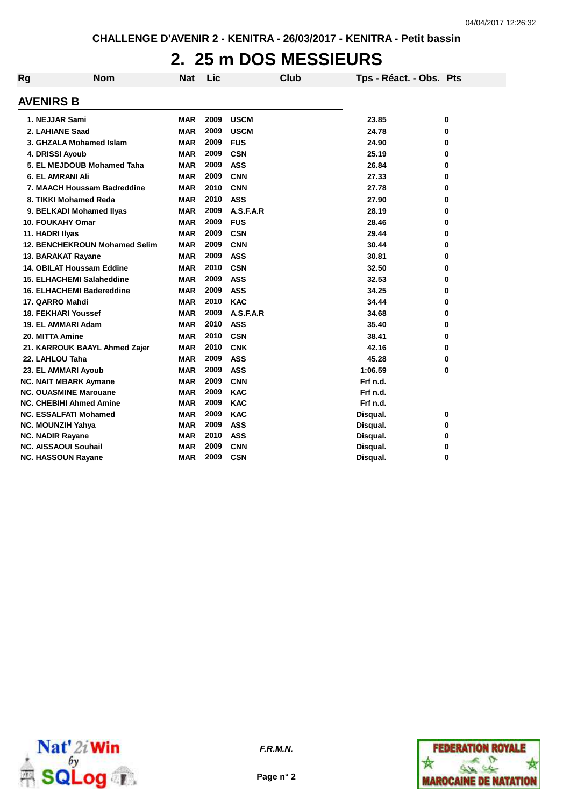## **2. 25 m DOS MESSIEURS**

| <b>Rg</b>        | <b>Nom</b>                           | <b>Nat</b> | Lic  |             | Club | Tps - Réact. - Obs. Pts |   |
|------------------|--------------------------------------|------------|------|-------------|------|-------------------------|---|
| <b>AVENIRS B</b> |                                      |            |      |             |      |                         |   |
|                  | 1. NEJJAR Sami                       | <b>MAR</b> | 2009 | <b>USCM</b> |      | 23.85                   | 0 |
|                  | 2. LAHIANE Saad                      | <b>MAR</b> | 2009 | <b>USCM</b> |      | 24.78                   | 0 |
|                  | 3. GHZALA Mohamed Islam              | <b>MAR</b> | 2009 | <b>FUS</b>  |      | 24.90                   | 0 |
|                  | 4. DRISSI Ayoub                      | <b>MAR</b> | 2009 | <b>CSN</b>  |      | 25.19                   | 0 |
|                  | 5. EL MEJDOUB Mohamed Taha           | <b>MAR</b> | 2009 | <b>ASS</b>  |      | 26.84                   | 0 |
|                  | <b>6. EL AMRANI Ali</b>              | <b>MAR</b> | 2009 | <b>CNN</b>  |      | 27.33                   | 0 |
|                  | 7. MAACH Houssam Badreddine          | <b>MAR</b> | 2010 | <b>CNN</b>  |      | 27.78                   | 0 |
|                  | 8. TIKKI Mohamed Reda                | <b>MAR</b> | 2010 | <b>ASS</b>  |      | 27.90                   | 0 |
|                  | 9. BELKADI Mohamed Ilyas             | MAR        | 2009 | A.S.F.A.R   |      | 28.19                   | 0 |
|                  | <b>10. FOUKAHY Omar</b>              | MAR        | 2009 | <b>FUS</b>  |      | 28.46                   | 0 |
| 11. HADRI IIyas  |                                      | <b>MAR</b> | 2009 | <b>CSN</b>  |      | 29.44                   | 0 |
|                  | <b>12. BENCHEKROUN Mohamed Selim</b> | <b>MAR</b> | 2009 | <b>CNN</b>  |      | 30.44                   | 0 |
|                  | 13. BARAKAT Rayane                   | <b>MAR</b> | 2009 | <b>ASS</b>  |      | 30.81                   | 0 |
|                  | 14. OBILAT Houssam Eddine            | <b>MAR</b> | 2010 | <b>CSN</b>  |      | 32.50                   | 0 |
|                  | 15. ELHACHEMI Salaheddine            | MAR        | 2009 | <b>ASS</b>  |      | 32.53                   | 0 |
|                  | 16. ELHACHEMI Badereddine            | MAR        | 2009 | <b>ASS</b>  |      | 34.25                   | 0 |
|                  | 17. QARRO Mahdi                      | <b>MAR</b> | 2010 | <b>KAC</b>  |      | 34.44                   | 0 |
|                  | <b>18. FEKHARI Youssef</b>           | <b>MAR</b> | 2009 | A.S.F.A.R   |      | 34.68                   | 0 |
|                  | 19. EL AMMARI Adam                   | <b>MAR</b> | 2010 | <b>ASS</b>  |      | 35.40                   | 0 |
| 20. MITTA Amine  |                                      | <b>MAR</b> | 2010 | <b>CSN</b>  |      | 38.41                   | 0 |
|                  | 21. KARROUK BAAYL Ahmed Zajer        | <b>MAR</b> | 2010 | <b>CNK</b>  |      | 42.16                   | 0 |
|                  | 22. LAHLOU Taha                      | <b>MAR</b> | 2009 | <b>ASS</b>  |      | 45.28                   | 0 |
|                  | 23. EL AMMARI Ayoub                  | <b>MAR</b> | 2009 | <b>ASS</b>  |      | 1:06.59                 | 0 |
|                  | <b>NC. NAIT MBARK Aymane</b>         | <b>MAR</b> | 2009 | <b>CNN</b>  |      | Frf n.d.                |   |
|                  | <b>NC. OUASMINE Marouane</b>         | MAR        | 2009 | <b>KAC</b>  |      | Frf n.d.                |   |
|                  | <b>NC. CHEBIHI Ahmed Amine</b>       | <b>MAR</b> | 2009 | <b>KAC</b>  |      | Frf n.d.                |   |
|                  | <b>NC. ESSALFATI Mohamed</b>         | <b>MAR</b> | 2009 | <b>KAC</b>  |      | Disqual.                | 0 |
|                  | <b>NC. MOUNZIH Yahya</b>             | <b>MAR</b> | 2009 | <b>ASS</b>  |      | Disqual.                | 0 |
|                  | <b>NC. NADIR Rayane</b>              | <b>MAR</b> | 2010 | <b>ASS</b>  |      | Disqual.                | 0 |
|                  | <b>NC. AISSAOUI Souhail</b>          | MAR        | 2009 | <b>CNN</b>  |      | Disqual.                | 0 |
|                  | <b>NC. HASSOUN Rayane</b>            | <b>MAR</b> | 2009 | <b>CSN</b>  |      | Disqual.                | 0 |



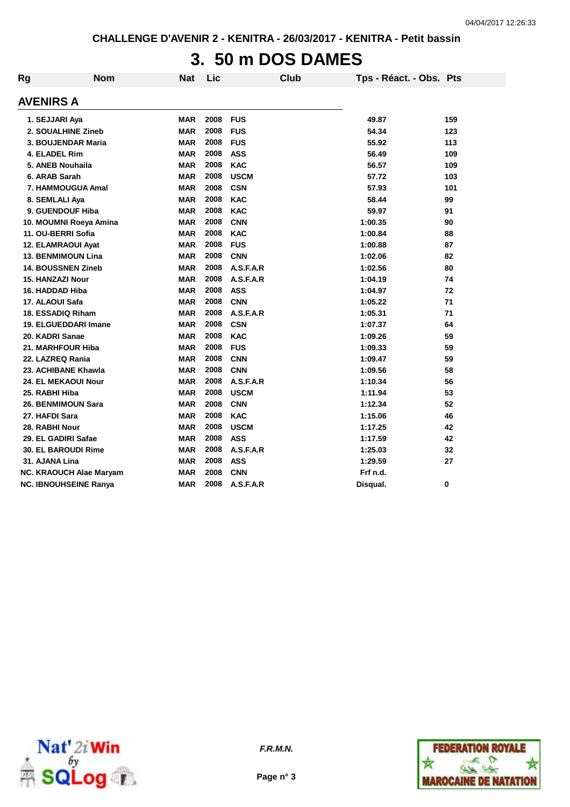# **3. 50 m DOS DAMES**

| Rg               | <b>Nom</b>                   | <b>Nat</b> | Lic  | Club        | Tps - Réact. - Obs. Pts |     |
|------------------|------------------------------|------------|------|-------------|-------------------------|-----|
| <b>AVENIRS A</b> |                              |            |      |             |                         |     |
|                  | 1. SEJJARI Aya               | <b>MAR</b> | 2008 | <b>FUS</b>  | 49.87                   | 159 |
|                  | 2. SOUALHINE Zineb           | <b>MAR</b> | 2008 | <b>FUS</b>  | 54.34                   | 123 |
|                  | 3. BOUJENDAR Maria           | <b>MAR</b> | 2008 | <b>FUS</b>  | 55.92                   | 113 |
|                  | 4. ELADEL Rim                | <b>MAR</b> | 2008 | <b>ASS</b>  | 56.49                   | 109 |
|                  | 5. ANEB Nouhaila             | <b>MAR</b> | 2008 | <b>KAC</b>  | 56.57                   | 109 |
|                  | 6. ARAB Sarah                | <b>MAR</b> | 2008 | <b>USCM</b> | 57.72                   | 103 |
|                  | 7. HAMMOUGUA Amal            | <b>MAR</b> | 2008 | <b>CSN</b>  | 57.93                   | 101 |
|                  | 8. SEMLALI Aya               | <b>MAR</b> | 2008 | <b>KAC</b>  | 58.44                   | 99  |
|                  | 9. GUENDOUF Hiba             | <b>MAR</b> | 2008 | <b>KAC</b>  | 59.97                   | 91  |
|                  | 10. MOUMNI Roeya Amina       | <b>MAR</b> | 2008 | <b>CNN</b>  | 1:00.35                 | 90  |
|                  | 11. OU-BERRI Sofia           | <b>MAR</b> | 2008 | <b>KAC</b>  | 1:00.84                 | 88  |
|                  | 12. ELAMRAOUI Ayat           | <b>MAR</b> | 2008 | <b>FUS</b>  | 1:00.88                 | 87  |
|                  | <b>13. BENMIMOUN Lina</b>    | <b>MAR</b> | 2008 | <b>CNN</b>  | 1:02.06                 | 82  |
|                  | <b>14. BOUSSNEN Zineb</b>    | <b>MAR</b> | 2008 | A.S.F.A.R   | 1:02.56                 | 80  |
|                  | <b>15. HANZAZI Nour</b>      | <b>MAR</b> | 2008 | A.S.F.A.R   | 1:04.19                 | 74  |
|                  | 16. HADDAD Hiba              | <b>MAR</b> | 2008 | <b>ASS</b>  | 1:04.97                 | 72  |
|                  | 17. ALAOUI Safa              | <b>MAR</b> | 2008 | <b>CNN</b>  | 1:05.22                 | 71  |
|                  | 18. ESSADIQ Riham            | <b>MAR</b> | 2008 | A.S.F.A.R   | 1:05.31                 | 71  |
|                  | 19. ELGUEDDARI Imane         | <b>MAR</b> | 2008 | <b>CSN</b>  | 1:07.37                 | 64  |
|                  | 20. KADRI Sanae              | <b>MAR</b> | 2008 | <b>KAC</b>  | 1:09.26                 | 59  |
|                  | 21. MARHFOUR Hiba            | <b>MAR</b> | 2008 | <b>FUS</b>  | 1:09.33                 | 59  |
|                  | 22. LAZREQ Rania             | <b>MAR</b> | 2008 | <b>CNN</b>  | 1:09.47                 | 59  |
|                  | 23. ACHIBANE Khawla          | <b>MAR</b> | 2008 | <b>CNN</b>  | 1:09.56                 | 58  |
|                  | 24. EL MEKAOUI Nour          | <b>MAR</b> | 2008 | A.S.F.A.R   | 1:10.34                 | 56  |
| 25. RABHI Hiba   |                              | <b>MAR</b> | 2008 | <b>USCM</b> | 1:11.94                 | 53  |
|                  | 26. BENMIMOUN Sara           | <b>MAR</b> | 2008 | <b>CNN</b>  | 1:12.34                 | 52  |
| 27. HAFDI Sara   |                              | <b>MAR</b> | 2008 | <b>KAC</b>  | 1:15.06                 | 46  |
|                  | 28. RABHI Nour               | <b>MAR</b> | 2008 | <b>USCM</b> | 1:17.25                 | 42  |
|                  | 29. EL GADIRI Safae          | <b>MAR</b> | 2008 | <b>ASS</b>  | 1:17.59                 | 42  |
|                  | 30. EL BAROUDI Rime          | <b>MAR</b> | 2008 | A.S.F.A.R   | 1:25.03                 | 32  |
| 31. AJANA Lina   |                              | <b>MAR</b> | 2008 | <b>ASS</b>  | 1:29.59                 | 27  |
|                  | NC. KRAOUCH Alae Maryam      | <b>MAR</b> | 2008 | <b>CNN</b>  | Frf n.d.                |     |
|                  | <b>NC. IBNOUHSEINE Ranya</b> | <b>MAR</b> | 2008 | A.S.F.A.R   | Disqual.                | 0   |





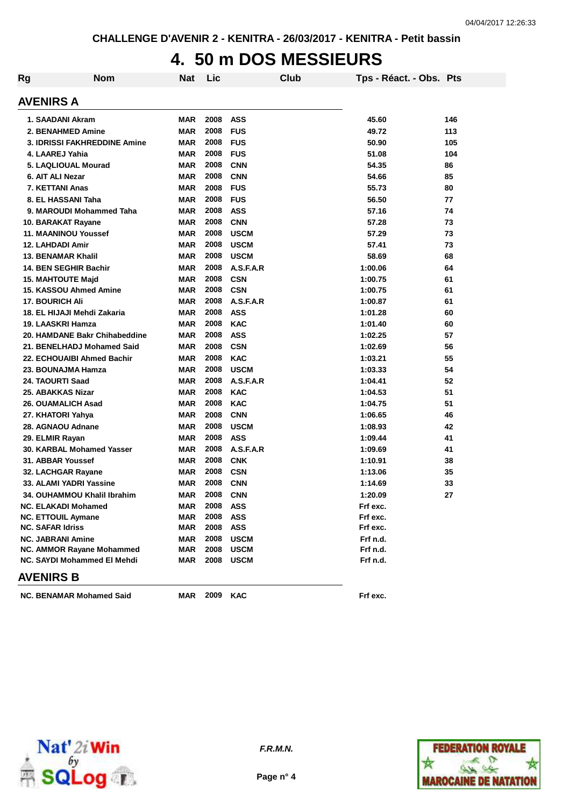## **4. 50 m DOS MESSIEURS**

| Rg | <b>Nom</b>                      | <b>Nat</b> | Lic  | Club        | Tps - Réact. - Obs. Pts |     |
|----|---------------------------------|------------|------|-------------|-------------------------|-----|
|    | AVENIRS A                       |            |      |             |                         |     |
|    | 1. SAADANI Akram                | <b>MAR</b> | 2008 | <b>ASS</b>  | 45.60                   | 146 |
|    | 2. BENAHMED Amine               | <b>MAR</b> | 2008 | <b>FUS</b>  | 49.72                   | 113 |
|    | 3. IDRISSI FAKHREDDINE Amine    | <b>MAR</b> | 2008 | <b>FUS</b>  | 50.90                   | 105 |
|    | 4. LAAREJ Yahia                 | <b>MAR</b> | 2008 | <b>FUS</b>  | 51.08                   | 104 |
|    | 5. LAQLIOUAL Mourad             | <b>MAR</b> | 2008 | <b>CNN</b>  | 54.35                   | 86  |
|    | 6. AIT ALI Nezar                | <b>MAR</b> | 2008 | <b>CNN</b>  | 54.66                   | 85  |
|    | 7. KETTANI Anas                 | <b>MAR</b> | 2008 | <b>FUS</b>  | 55.73                   | 80  |
|    | 8. EL HASSANI Taha              | <b>MAR</b> | 2008 | <b>FUS</b>  | 56.50                   | 77  |
|    | 9. MAROUDI Mohammed Taha        | <b>MAR</b> | 2008 | <b>ASS</b>  | 57.16                   | 74  |
|    | 10. BARAKAT Rayane              | <b>MAR</b> | 2008 | <b>CNN</b>  | 57.28                   | 73  |
|    | <b>11. MAANINOU Youssef</b>     | <b>MAR</b> | 2008 | <b>USCM</b> | 57.29                   | 73  |
|    | <b>12. LAHDADI Amir</b>         | <b>MAR</b> | 2008 | <b>USCM</b> | 57.41                   | 73  |
|    | <b>13. BENAMAR Khalil</b>       | <b>MAR</b> | 2008 | <b>USCM</b> | 58.69                   | 68  |
|    | 14. BEN SEGHIR Bachir           | <b>MAR</b> | 2008 | A.S.F.A.R   | 1:00.06                 | 64  |
|    | <b>15. MAHTOUTE Majd</b>        | <b>MAR</b> | 2008 | <b>CSN</b>  | 1:00.75                 | 61  |
|    | 15. KASSOU Ahmed Amine          | <b>MAR</b> | 2008 | <b>CSN</b>  | 1:00.75                 | 61  |
|    | <b>17. BOURICH Ali</b>          | <b>MAR</b> | 2008 | A.S.F.A.R   | 1:00.87                 | 61  |
|    | 18. EL HIJAJI Mehdi Zakaria     | <b>MAR</b> | 2008 | <b>ASS</b>  | 1:01.28                 | 60  |
|    | 19. LAASKRI Hamza               | <b>MAR</b> | 2008 | <b>KAC</b>  | 1:01.40                 | 60  |
|    | 20. HAMDANE Bakr Chihabeddine   | <b>MAR</b> | 2008 | <b>ASS</b>  | 1:02.25                 | 57  |
|    | 21. BENELHADJ Mohamed Said      | <b>MAR</b> | 2008 | <b>CSN</b>  | 1:02.69                 | 56  |
|    | 22. ECHOUAIBI Ahmed Bachir      | <b>MAR</b> | 2008 | <b>KAC</b>  | 1:03.21                 | 55  |
|    | 23. BOUNAJMA Hamza              | <b>MAR</b> | 2008 | <b>USCM</b> | 1:03.33                 | 54  |
|    | 24. TAOURTI Saad                | <b>MAR</b> | 2008 | A.S.F.A.R   | 1:04.41                 | 52  |
|    | 25. ABAKKAS Nizar               | <b>MAR</b> | 2008 | <b>KAC</b>  | 1:04.53                 | 51  |
|    | <b>26. OUAMALICH Asad</b>       | <b>MAR</b> | 2008 | <b>KAC</b>  | 1:04.75                 | 51  |
|    | 27. KHATORI Yahya               | <b>MAR</b> | 2008 | <b>CNN</b>  | 1:06.65                 | 46  |
|    | 28. AGNAOU Adnane               | <b>MAR</b> | 2008 | <b>USCM</b> | 1:08.93                 | 42  |
|    | 29. ELMIR Rayan                 | <b>MAR</b> | 2008 | <b>ASS</b>  | 1:09.44                 | 41  |
|    | 30. KARBAL Mohamed Yasser       | <b>MAR</b> | 2008 | A.S.F.A.R   | 1:09.69                 | 41  |
|    | 31. ABBAR Youssef               | <b>MAR</b> | 2008 | <b>CNK</b>  | 1:10.91                 | 38  |
|    | 32. LACHGAR Rayane              | <b>MAR</b> | 2008 | <b>CSN</b>  | 1:13.06                 | 35  |
|    | 33. ALAMI YADRI Yassine         | <b>MAR</b> | 2008 | <b>CNN</b>  | 1:14.69                 | 33  |
|    | 34. OUHAMMOU Khalil Ibrahim     | <b>MAR</b> | 2008 | <b>CNN</b>  | 1:20.09                 | 27  |
|    | <b>NC. ELAKADI Mohamed</b>      | <b>MAR</b> | 2008 | ASS         | Frf exc.                |     |
|    | <b>NC. ETTOUIL Aymane</b>       | <b>MAR</b> | 2008 | <b>ASS</b>  | Frf exc.                |     |
|    | <b>NC. SAFAR Idriss</b>         | <b>MAR</b> | 2008 | ASS         | Frf exc.                |     |
|    | <b>NC. JABRANI Amine</b>        | <b>MAR</b> | 2008 | <b>USCM</b> | Frf n.d.                |     |
|    | NC. AMMOR Rayane Mohammed       | <b>MAR</b> | 2008 | <b>USCM</b> | Frf n.d.                |     |
|    | NC. SAYDI Mohammed El Mehdi     | <b>MAR</b> | 2008 | <b>USCM</b> | Frf n.d.                |     |
|    | <b>AVENIRS B</b>                |            |      |             |                         |     |
|    | <b>NC. BENAMAR Mohamed Said</b> | MAR        | 2009 | <b>KAC</b>  | Frf exc.                |     |



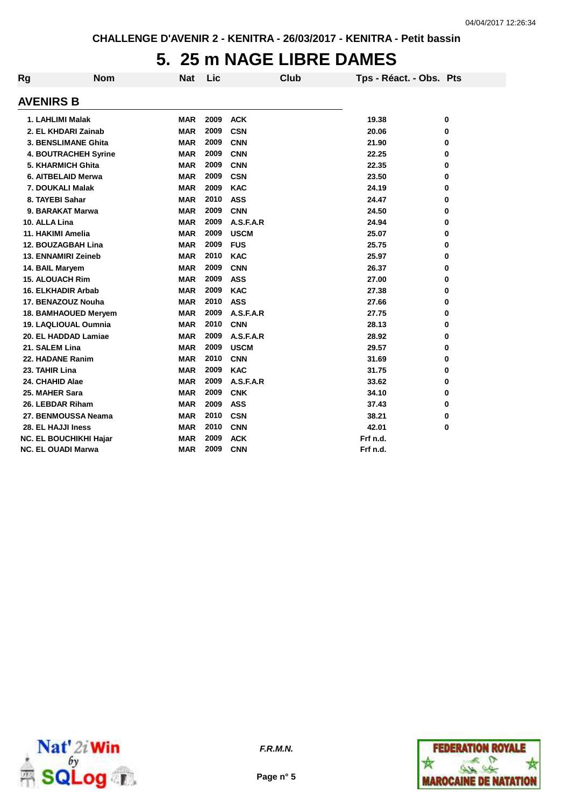### **5. 25 m NAGE LIBRE DAMES**

| Rg | <b>Nom</b>                    | <b>Nat</b> | Lic  | <b>Club</b> | Tps - Réact. - Obs. Pts |          |
|----|-------------------------------|------------|------|-------------|-------------------------|----------|
|    | <b>AVENIRS B</b>              |            |      |             |                         |          |
|    | 1. LAHLIMI Malak              | <b>MAR</b> | 2009 | <b>ACK</b>  | 19.38                   | 0        |
|    | 2. EL KHDARI Zainab           | <b>MAR</b> | 2009 | <b>CSN</b>  | 20.06                   | $\bf{0}$ |
|    | 3. BENSLIMANE Ghita           | <b>MAR</b> | 2009 | <b>CNN</b>  | 21.90                   | 0        |
|    | <b>4. BOUTRACHEH Syrine</b>   | <b>MAR</b> | 2009 | <b>CNN</b>  | 22.25                   | $\bf{0}$ |
|    | 5. KHARMICH Ghita             | <b>MAR</b> | 2009 | <b>CNN</b>  | 22.35                   | 0        |
|    | 6. AITBELAID Merwa            | <b>MAR</b> | 2009 | <b>CSN</b>  | 23.50                   | 0        |
|    | 7. DOUKALI Malak              | <b>MAR</b> | 2009 | <b>KAC</b>  | 24.19                   | $\bf{0}$ |
|    | 8. TAYEBI Sahar               | <b>MAR</b> | 2010 | <b>ASS</b>  | 24.47                   | 0        |
|    | 9. BARAKAT Marwa              | <b>MAR</b> | 2009 | <b>CNN</b>  | 24.50                   | 0        |
|    | 10. ALLA Lina                 | <b>MAR</b> | 2009 | A.S.F.A.R   | 24.94                   | 0        |
|    | 11. HAKIMI Amelia             | <b>MAR</b> | 2009 | <b>USCM</b> | 25.07                   | 0        |
|    | 12. BOUZAGBAH Lina            | <b>MAR</b> | 2009 | <b>FUS</b>  | 25.75                   | 0        |
|    | 13. ENNAMIRI Zeineb           | <b>MAR</b> | 2010 | <b>KAC</b>  | 25.97                   | 0        |
|    | 14. BAIL Maryem               | <b>MAR</b> | 2009 | <b>CNN</b>  | 26.37                   | 0        |
|    | <b>15. ALOUACH Rim</b>        | <b>MAR</b> | 2009 | <b>ASS</b>  | 27.00                   | 0        |
|    | <b>16. ELKHADIR Arbab</b>     | <b>MAR</b> | 2009 | <b>KAC</b>  | 27.38                   | 0        |
|    | 17. BENAZOUZ Nouha            | <b>MAR</b> | 2010 | <b>ASS</b>  | 27.66                   | 0        |
|    | 18. BAMHAOUED Meryem          | <b>MAR</b> | 2009 | A.S.F.A.R   | 27.75                   | 0        |
|    | <b>19. LAQLIOUAL Oumnia</b>   | <b>MAR</b> | 2010 | <b>CNN</b>  | 28.13                   | 0        |
|    | 20. EL HADDAD Lamiae          | <b>MAR</b> | 2009 | A.S.F.A.R   | 28.92                   | 0        |
|    | 21. SALEM Lina                | <b>MAR</b> | 2009 | <b>USCM</b> | 29.57                   | 0        |
|    | 22. HADANE Ranim              | <b>MAR</b> | 2010 | <b>CNN</b>  | 31.69                   | 0        |
|    | 23. TAHIR Lina                | <b>MAR</b> | 2009 | <b>KAC</b>  | 31.75                   | 0        |
|    | 24. CHAHID Alae               | <b>MAR</b> | 2009 | A.S.F.A.R   | 33.62                   | 0        |
|    | 25. MAHER Sara                | <b>MAR</b> | 2009 | <b>CNK</b>  | 34.10                   | 0        |
|    | 26. LEBDAR Riham              | <b>MAR</b> | 2009 | <b>ASS</b>  | 37.43                   | 0        |
|    | 27. BENMOUSSA Neama           | <b>MAR</b> | 2010 | <b>CSN</b>  | 38.21                   | 0        |
|    | 28. EL HAJJI Iness            | <b>MAR</b> | 2010 | <b>CNN</b>  | 42.01                   | 0        |
|    | <b>NC. EL BOUCHIKHI Hajar</b> | <b>MAR</b> | 2009 | <b>ACK</b>  | Frf n.d.                |          |
|    | <b>NC. EL OUADI Marwa</b>     | <b>MAR</b> | 2009 | <b>CNN</b>  | Frf n.d.                |          |



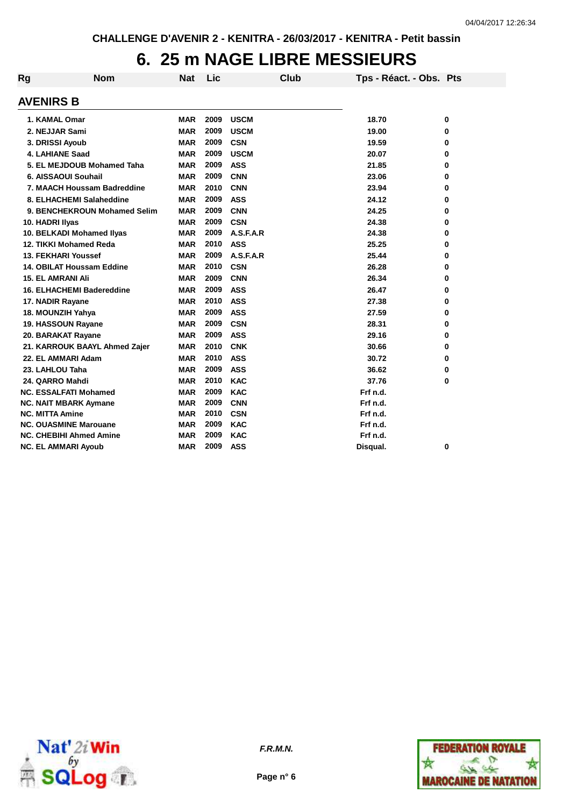### **6. 25 m NAGE LIBRE MESSIEURS**

| Rg                       | <b>Nom</b>                       | <b>Nat</b> | Lic  | Club        | Tps - Réact. - Obs. Pts |   |
|--------------------------|----------------------------------|------------|------|-------------|-------------------------|---|
| <b>AVENIRS B</b>         |                                  |            |      |             |                         |   |
| 1. KAMAL Omar            |                                  | <b>MAR</b> | 2009 | <b>USCM</b> | 18.70                   | 0 |
| 2. NEJJAR Sami           |                                  | <b>MAR</b> | 2009 | <b>USCM</b> | 19.00                   | 0 |
| 3. DRISSI Ayoub          |                                  | <b>MAR</b> | 2009 | <b>CSN</b>  | 19.59                   | 0 |
|                          | <b>4. LAHIANE Saad</b>           | <b>MAR</b> | 2009 | <b>USCM</b> | 20.07                   | 0 |
|                          | 5. EL MEJDOUB Mohamed Taha       | MAR        | 2009 | <b>ASS</b>  | 21.85                   | 0 |
|                          | 6. AISSAOUI Souhail              | MAR        | 2009 | <b>CNN</b>  | 23.06                   | 0 |
|                          | 7. MAACH Houssam Badreddine      | <b>MAR</b> | 2010 | <b>CNN</b>  | 23.94                   | 0 |
|                          | 8. ELHACHEMI Salaheddine         | <b>MAR</b> | 2009 | <b>ASS</b>  | 24.12                   | 0 |
|                          | 9. BENCHEKROUN Mohamed Selim     | <b>MAR</b> | 2009 | <b>CNN</b>  | 24.25                   | 0 |
| 10. HADRI Ilyas          |                                  | MAR        | 2009 | <b>CSN</b>  | 24.38                   | 0 |
|                          | 10. BELKADI Mohamed Ilyas        | <b>MAR</b> | 2009 | A.S.F.A.R   | 24.38                   | 0 |
|                          | 12. TIKKI Mohamed Reda           | <b>MAR</b> | 2010 | <b>ASS</b>  | 25.25                   | 0 |
|                          | <b>13. FEKHARI Youssef</b>       | <b>MAR</b> | 2009 | A.S.F.A.R   | 25.44                   | 0 |
|                          | 14. OBILAT Houssam Eddine        | <b>MAR</b> | 2010 | <b>CSN</b>  | 26.28                   | 0 |
| <b>15. EL AMRANI Ali</b> |                                  | MAR        | 2009 | <b>CNN</b>  | 26.34                   | 0 |
|                          | <b>16. ELHACHEMI Badereddine</b> | <b>MAR</b> | 2009 | <b>ASS</b>  | 26.47                   | 0 |
| 17. NADIR Rayane         |                                  | <b>MAR</b> | 2010 | <b>ASS</b>  | 27.38                   | 0 |
|                          | 18. MOUNZIH Yahya                | <b>MAR</b> | 2009 | <b>ASS</b>  | 27.59                   | 0 |
|                          | 19. HASSOUN Rayane               | <b>MAR</b> | 2009 | <b>CSN</b>  | 28.31                   | 0 |
|                          | 20. BARAKAT Rayane               | <b>MAR</b> | 2009 | <b>ASS</b>  | 29.16                   | 0 |
|                          | 21. KARROUK BAAYL Ahmed Zajer    | <b>MAR</b> | 2010 | <b>CNK</b>  | 30.66                   | 0 |
|                          | 22. EL AMMARI Adam               | <b>MAR</b> | 2010 | <b>ASS</b>  | 30.72                   | 0 |
| 23. LAHLOU Taha          |                                  | <b>MAR</b> | 2009 | <b>ASS</b>  | 36.62                   | 0 |
| 24. QARRO Mahdi          |                                  | <b>MAR</b> | 2010 | <b>KAC</b>  | 37.76                   | 0 |
|                          | <b>NC. ESSALFATI Mohamed</b>     | <b>MAR</b> | 2009 | <b>KAC</b>  | Frf n.d.                |   |
|                          | <b>NC. NAIT MBARK Aymane</b>     | <b>MAR</b> | 2009 | <b>CNN</b>  | Frf n.d.                |   |
| <b>NC. MITTA Amine</b>   |                                  | <b>MAR</b> | 2010 | <b>CSN</b>  | Frf n.d.                |   |
|                          | <b>NC. OUASMINE Marouane</b>     | <b>MAR</b> | 2009 | <b>KAC</b>  | Frf n.d.                |   |
|                          | <b>NC. CHEBIHI Ahmed Amine</b>   | <b>MAR</b> | 2009 | <b>KAC</b>  | Frf n.d.                |   |
|                          | <b>NC. EL AMMARI Ayoub</b>       | <b>MAR</b> | 2009 | <b>ASS</b>  | Disqual.                | 0 |



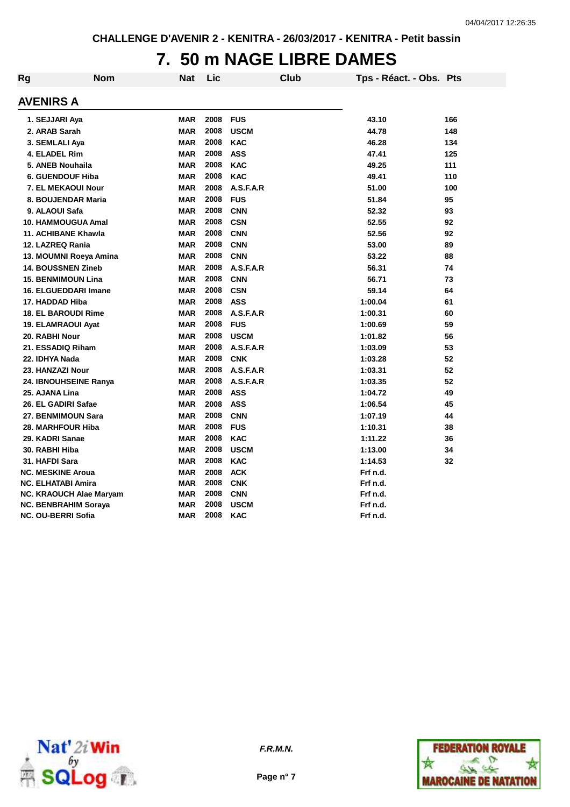### **7. 50 m NAGE LIBRE DAMES**

| Rg | <b>Nom</b>                     | <b>Nat</b> | Lic  | <b>Club</b> | Tps - Réact. - Obs. Pts |     |
|----|--------------------------------|------------|------|-------------|-------------------------|-----|
|    | <b>AVENIRS A</b>               |            |      |             |                         |     |
|    | 1. SEJJARI Aya                 | <b>MAR</b> | 2008 | <b>FUS</b>  | 43.10                   | 166 |
|    | 2. ARAB Sarah                  | <b>MAR</b> | 2008 | <b>USCM</b> | 44.78                   | 148 |
|    | 3. SEMLALI Aya                 | <b>MAR</b> | 2008 | <b>KAC</b>  | 46.28                   | 134 |
|    | 4. ELADEL Rim                  | <b>MAR</b> | 2008 | <b>ASS</b>  | 47.41                   | 125 |
|    | 5. ANEB Nouhaila               | <b>MAR</b> | 2008 | <b>KAC</b>  | 49.25                   | 111 |
|    | <b>6. GUENDOUF Hiba</b>        | <b>MAR</b> | 2008 | <b>KAC</b>  | 49.41                   | 110 |
|    | <b>7. EL MEKAOUI Nour</b>      | <b>MAR</b> | 2008 | A.S.F.A.R   | 51.00                   | 100 |
|    | 8. BOUJENDAR Maria             | <b>MAR</b> | 2008 | <b>FUS</b>  | 51.84                   | 95  |
|    | 9. ALAOUI Safa                 | <b>MAR</b> | 2008 | <b>CNN</b>  | 52.32                   | 93  |
|    | <b>10. HAMMOUGUA Amal</b>      | <b>MAR</b> | 2008 | <b>CSN</b>  | 52.55                   | 92  |
|    | 11. ACHIBANE Khawla            | <b>MAR</b> | 2008 | <b>CNN</b>  | 52.56                   | 92  |
|    | 12. LAZREQ Rania               | <b>MAR</b> | 2008 | <b>CNN</b>  | 53.00                   | 89  |
|    | 13. MOUMNI Roeya Amina         | <b>MAR</b> | 2008 | <b>CNN</b>  | 53.22                   | 88  |
|    | <b>14. BOUSSNEN Zineb</b>      | <b>MAR</b> | 2008 | A.S.F.A.R   | 56.31                   | 74  |
|    | <b>15. BENMIMOUN Lina</b>      | <b>MAR</b> | 2008 | <b>CNN</b>  | 56.71                   | 73  |
|    | <b>16. ELGUEDDARI Imane</b>    | <b>MAR</b> | 2008 | <b>CSN</b>  | 59.14                   | 64  |
|    | 17. HADDAD Hiba                | <b>MAR</b> | 2008 | <b>ASS</b>  | 1:00.04                 | 61  |
|    | <b>18. EL BAROUDI Rime</b>     | <b>MAR</b> | 2008 | A.S.F.A.R   | 1:00.31                 | 60  |
|    | 19. ELAMRAOUI Ayat             | <b>MAR</b> | 2008 | <b>FUS</b>  | 1:00.69                 | 59  |
|    | 20. RABHI Nour                 | <b>MAR</b> | 2008 | <b>USCM</b> | 1:01.82                 | 56  |
|    | 21. ESSADIQ Riham              | <b>MAR</b> | 2008 | A.S.F.A.R   | 1:03.09                 | 53  |
|    | 22. IDHYA Nada                 | <b>MAR</b> | 2008 | <b>CNK</b>  | 1:03.28                 | 52  |
|    | 23. HANZAZI Nour               | <b>MAR</b> | 2008 | A.S.F.A.R   | 1:03.31                 | 52  |
|    | 24. IBNOUHSEINE Ranya          | <b>MAR</b> | 2008 | A.S.F.A.R   | 1:03.35                 | 52  |
|    | 25. AJANA Lina                 | <b>MAR</b> | 2008 | <b>ASS</b>  | 1:04.72                 | 49  |
|    | 26. EL GADIRI Safae            | <b>MAR</b> | 2008 | <b>ASS</b>  | 1:06.54                 | 45  |
|    | 27. BENMIMOUN Sara             | <b>MAR</b> | 2008 | <b>CNN</b>  | 1:07.19                 | 44  |
|    | 28. MARHFOUR Hiba              | <b>MAR</b> | 2008 | <b>FUS</b>  | 1:10.31                 | 38  |
|    | 29. KADRI Sanae                | <b>MAR</b> | 2008 | <b>KAC</b>  | 1:11.22                 | 36  |
|    | 30. RABHI Hiba                 | <b>MAR</b> | 2008 | <b>USCM</b> | 1:13.00                 | 34  |
|    | 31. HAFDI Sara                 | <b>MAR</b> | 2008 | <b>KAC</b>  | 1:14.53                 | 32  |
|    | <b>NC. MESKINE Aroua</b>       | <b>MAR</b> | 2008 | <b>ACK</b>  | Frf n.d.                |     |
|    | <b>NC. ELHATABI Amira</b>      | <b>MAR</b> | 2008 | <b>CNK</b>  | Frf n.d.                |     |
|    | <b>NC. KRAOUCH Alae Maryam</b> | <b>MAR</b> | 2008 | <b>CNN</b>  | Frf n.d.                |     |
|    | NC. BENBRAHIM Soraya           | <b>MAR</b> | 2008 | <b>USCM</b> | Frf n.d.                |     |
|    | <b>NC. OU-BERRI Sofia</b>      | <b>MAR</b> | 2008 | <b>KAC</b>  | Frf n.d.                |     |





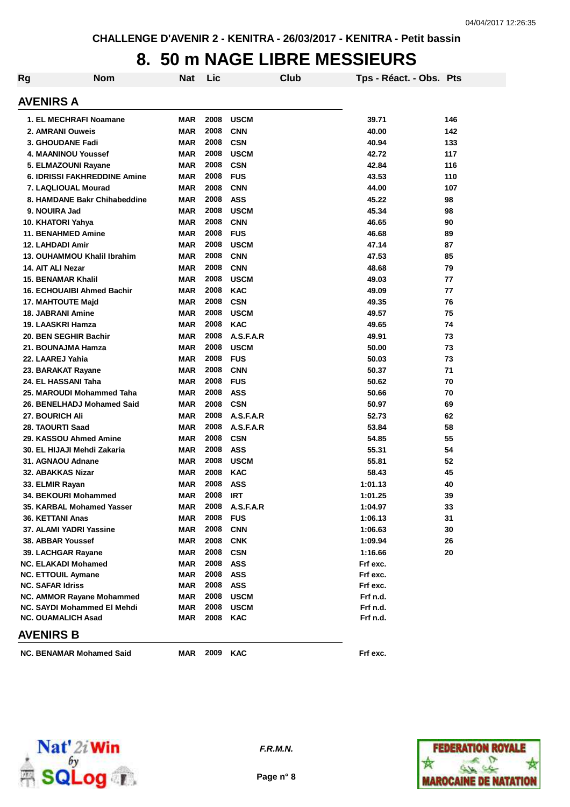#### **8. 50 m NAGE LIBRE MESSIEURS**

| Rg | <b>Nom</b>                                              | <b>Nat</b>               | Lic          | Club                     | Tps - Réact. - Obs. Pts |     |
|----|---------------------------------------------------------|--------------------------|--------------|--------------------------|-------------------------|-----|
|    | <b>AVENIRS A</b>                                        |                          |              |                          |                         |     |
|    | 1. EL MECHRAFI Noamane                                  | <b>MAR</b>               | 2008         | <b>USCM</b>              | 39.71                   | 146 |
|    | 2. AMRANI Ouweis                                        | <b>MAR</b>               | 2008         | <b>CNN</b>               | 40.00                   | 142 |
|    | 3. GHOUDANE Fadi                                        | <b>MAR</b>               | 2008         | <b>CSN</b>               | 40.94                   | 133 |
|    | 4. MAANINOU Youssef                                     | <b>MAR</b>               | 2008         | <b>USCM</b>              | 42.72                   | 117 |
|    | 5. ELMAZOUNI Rayane                                     | <b>MAR</b>               | 2008         | <b>CSN</b>               | 42.84                   | 116 |
|    | <b>6. IDRISSI FAKHREDDINE Amine</b>                     | <b>MAR</b>               | 2008         | <b>FUS</b>               | 43.53                   | 110 |
|    | 7. LAQLIOUAL Mourad                                     | <b>MAR</b>               | 2008         | <b>CNN</b>               | 44.00                   | 107 |
|    | 8. HAMDANE Bakr Chihabeddine                            | <b>MAR</b>               | 2008         | <b>ASS</b>               | 45.22                   | 98  |
|    | 9. NOUIRA Jad                                           | <b>MAR</b>               | 2008         | <b>USCM</b>              | 45.34                   | 98  |
|    | 10. KHATORI Yahya                                       | <b>MAR</b>               | 2008         | <b>CNN</b>               | 46.65                   | 90  |
|    | <b>11. BENAHMED Amine</b>                               | <b>MAR</b>               | 2008         | <b>FUS</b>               | 46.68                   | 89  |
|    | 12. LAHDADI Amir                                        | <b>MAR</b>               | 2008         | <b>USCM</b>              | 47.14                   | 87  |
|    | 13. OUHAMMOU Khalil Ibrahim                             | <b>MAR</b>               | 2008         | <b>CNN</b>               | 47.53                   | 85  |
|    | 14. AIT ALI Nezar                                       | <b>MAR</b>               | 2008         | <b>CNN</b>               | 48.68                   | 79  |
|    | <b>15. BENAMAR Khalil</b>                               | <b>MAR</b>               | 2008         | <b>USCM</b>              | 49.03                   | 77  |
|    | <b>16. ECHOUAIBI Ahmed Bachir</b>                       | <b>MAR</b>               | 2008         | <b>KAC</b>               | 49.09                   | 77  |
|    | <b>17. MAHTOUTE Majd</b>                                | <b>MAR</b>               | 2008         | <b>CSN</b>               | 49.35                   | 76  |
|    | <b>18. JABRANI Amine</b>                                | <b>MAR</b>               | 2008         | <b>USCM</b>              | 49.57                   | 75  |
|    | 19. LAASKRI Hamza                                       | <b>MAR</b>               | 2008         | <b>KAC</b>               | 49.65                   | 74  |
|    | 20. BEN SEGHIR Bachir                                   | <b>MAR</b>               | 2008         | A.S.F.A.R                | 49.91                   | 73  |
|    | 21. BOUNAJMA Hamza                                      | <b>MAR</b>               | 2008         | <b>USCM</b>              | 50.00                   | 73  |
|    | 22. LAAREJ Yahia                                        | <b>MAR</b>               | 2008         | <b>FUS</b>               | 50.03                   | 73  |
|    | 23. BARAKAT Rayane                                      | <b>MAR</b>               | 2008         | <b>CNN</b>               | 50.37                   | 71  |
|    | 24. EL HASSANI Taha                                     | <b>MAR</b>               | 2008         | <b>FUS</b>               | 50.62                   | 70  |
|    | 25. MAROUDI Mohammed Taha                               | <b>MAR</b>               | 2008         | <b>ASS</b>               | 50.66                   | 70  |
|    | 26. BENELHADJ Mohamed Said                              | <b>MAR</b>               | 2008         | <b>CSN</b>               | 50.97                   | 69  |
|    | <b>27. BOURICH Ali</b>                                  | <b>MAR</b>               | 2008         | A.S.F.A.R                | 52.73                   | 62  |
|    | 28. TAOURTI Saad                                        | <b>MAR</b>               | 2008         | A.S.F.A.R                | 53.84                   | 58  |
|    | 29. KASSOU Ahmed Amine                                  | <b>MAR</b>               | 2008         | <b>CSN</b>               | 54.85                   | 55  |
|    | 30. EL HIJAJI Mehdi Zakaria                             | <b>MAR</b>               | 2008         | <b>ASS</b>               | 55.31                   | 54  |
|    | 31. AGNAOU Adnane                                       | <b>MAR</b>               | 2008         | <b>USCM</b>              | 55.81                   | 52  |
|    | 32. ABAKKAS Nizar                                       | <b>MAR</b>               | 2008         | <b>KAC</b>               | 58.43                   | 45  |
|    | 33. ELMIR Rayan                                         | <b>MAR</b>               | 2008         | <b>ASS</b>               | 1:01.13                 | 40  |
|    | 34. BEKOURI Mohammed                                    | <b>MAR</b>               | 2008         | <b>IRT</b>               | 1:01.25                 | 39  |
|    | 35. KARBAL Mohamed Yasser                               | MAR                      | 2008         | A.S.F.A.R                | 1:04.97                 | 33  |
|    | 36. KETTANI Anas                                        | <b>MAR</b>               | 2008         | <b>FUS</b>               | 1:06.13                 | 31  |
|    | 37. ALAMI YADRI Yassine                                 | <b>MAR</b>               | 2008         | <b>CNN</b>               | 1:06.63                 | 30  |
|    | 38. ABBAR Youssef                                       | <b>MAR</b>               | 2008<br>2008 | <b>CNK</b>               | 1:09.94<br>1:16.66      | 26  |
|    | 39. LACHGAR Rayane                                      | <b>MAR</b>               | 2008         | <b>CSN</b>               |                         | 20  |
|    | <b>NC. ELAKADI Mohamed</b><br><b>NC. ETTOUIL Aymane</b> | <b>MAR</b><br><b>MAR</b> | 2008         | <b>ASS</b><br><b>ASS</b> | Frf exc.<br>Frf exc.    |     |
|    | <b>NC. SAFAR Idriss</b>                                 | <b>MAR</b>               | 2008         | <b>ASS</b>               | Frf exc.                |     |
|    | NC. AMMOR Rayane Mohammed                               | <b>MAR</b>               | 2008         | <b>USCM</b>              | Frf n.d.                |     |
|    | NC. SAYDI Mohammed El Mehdi                             | <b>MAR</b>               | 2008         | <b>USCM</b>              | Frf n.d.                |     |
|    | <b>NC. OUAMALICH Asad</b>                               | <b>MAR</b>               | 2008         | <b>KAC</b>               | Frf n.d.                |     |
|    | <b>AVENIRS B</b>                                        |                          |              |                          |                         |     |
|    |                                                         |                          | 2009         |                          |                         |     |
|    | <b>NC. BENAMAR Mohamed Said</b>                         | MAR                      |              | <b>KAC</b>               | Frf exc.                |     |



**Page n° 8**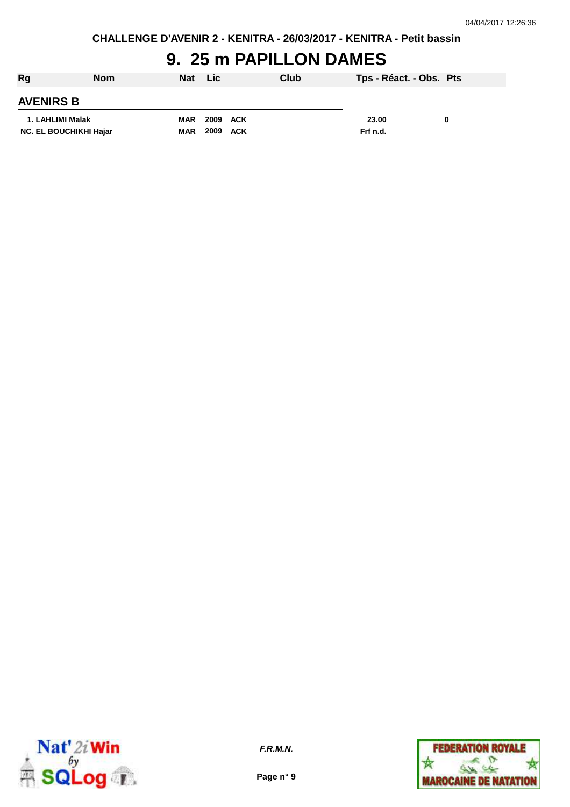**CHALLENGE D'AVENIR 2 - KENITRA - 26/03/2017 - KENITRA - Petit bassin**

# **9. 25 m PAPILLON DAMES**

| Rg                            | <b>Nom</b> | <b>Nat</b> | <b>Lic</b>  | Club | Tps - Réact. - Obs. Pts |  |
|-------------------------------|------------|------------|-------------|------|-------------------------|--|
| <b>AVENIRS B</b>              |            |            |             |      |                         |  |
| 1. LAHLIMI Malak              |            | <b>MAR</b> | 2009<br>ACK |      | 23.00                   |  |
| <b>NC. EL BOUCHIKHI Hajar</b> |            | <b>MAR</b> | 2009 ACK    |      | Frf n.d.                |  |



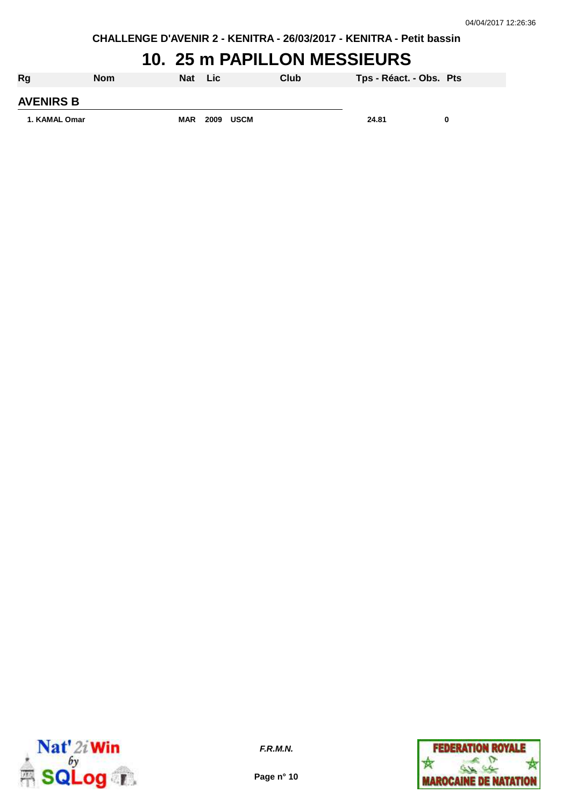**CHALLENGE D'AVENIR 2 - KENITRA - 26/03/2017 - KENITRA - Petit bassin**

### **10. 25 m PAPILLON MESSIEURS**

| <b>Rg</b>        | <b>Nom</b> | <b>Nat</b> | ⊟ Lic |      | Club | Tps - Réact. - Obs. Pts |   |
|------------------|------------|------------|-------|------|------|-------------------------|---|
| <b>AVENIRS B</b> |            |            |       |      |      |                         |   |
| 1. KAMAL Omar    |            | <b>MAR</b> | 2009  | USCM |      | 24.81                   | 0 |



**F.R.M.N.**

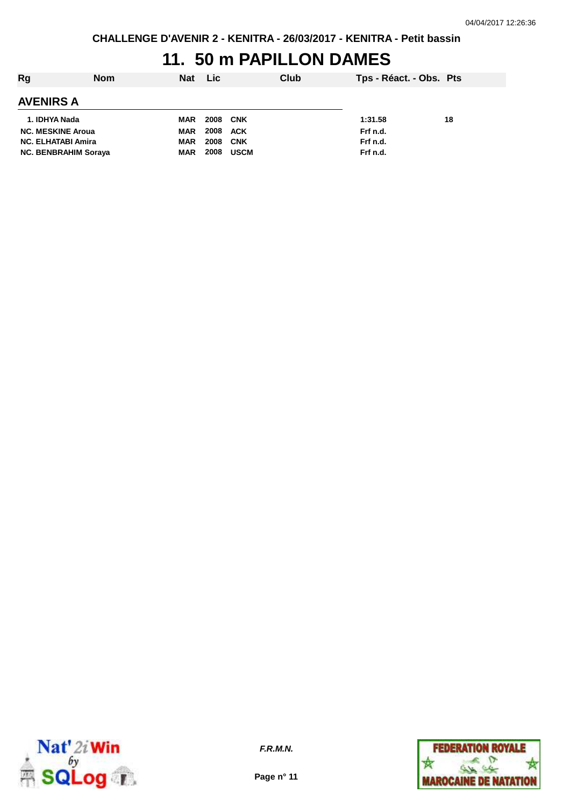## **11. 50 m PAPILLON DAMES**

| Rg                          | <b>Nom</b> | <b>Nat</b> | Lic.            |             | Club | Tps - Réact. - Obs. Pts |    |
|-----------------------------|------------|------------|-----------------|-------------|------|-------------------------|----|
| AVENIRS A                   |            |            |                 |             |      |                         |    |
| 1. IDHYA Nada               |            | <b>MAR</b> | <b>2008 CNK</b> |             |      | 1:31.58                 | 18 |
| <b>NC. MESKINE Aroua</b>    |            | <b>MAR</b> | 2008 ACK        |             |      | Frf n.d.                |    |
| <b>NC. ELHATABI Amira</b>   |            | <b>MAR</b> | 2008            | CNK         |      | Frf n.d.                |    |
| <b>NC. BENBRAHIM Soraya</b> |            | <b>MAR</b> | 2008            | <b>USCM</b> |      | Frf n.d.                |    |



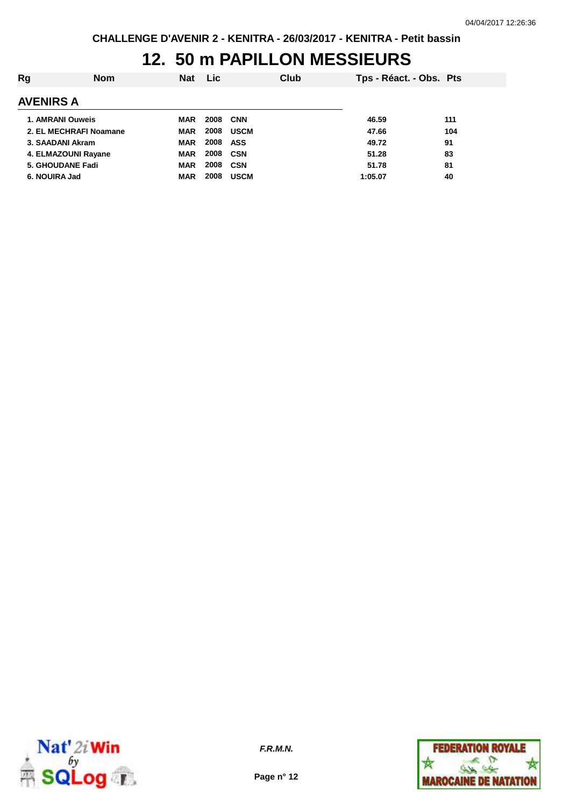## **12. 50 m PAPILLON MESSIEURS**

| Rg                      | <b>Nom</b> | <b>Nat</b> | <b>Lic</b> | Club        | Tps - Réact. - Obs. Pts |     |
|-------------------------|------------|------------|------------|-------------|-------------------------|-----|
| <b>AVENIRS A</b>        |            |            |            |             |                         |     |
| 1. AMRANI Ouweis        |            | MAR        | 2008       | <b>CNN</b>  | 46.59                   | 111 |
| 2. EL MECHRAFI Noamane  |            | <b>MAR</b> | 2008       | <b>USCM</b> | 47.66                   | 104 |
| 3. SAADANI Akram        |            | <b>MAR</b> | 2008       | ASS         | 49.72                   | 91  |
| 4. ELMAZOUNI Rayane     |            | <b>MAR</b> | 2008 CSN   |             | 51.28                   | 83  |
| <b>5. GHOUDANE Fadi</b> |            | <b>MAR</b> | 2008       | CSN         | 51.78                   | 81  |
| 6. NOUIRA Jad           |            | <b>MAR</b> | 2008       | <b>USCM</b> | 1:05.07                 | 40  |



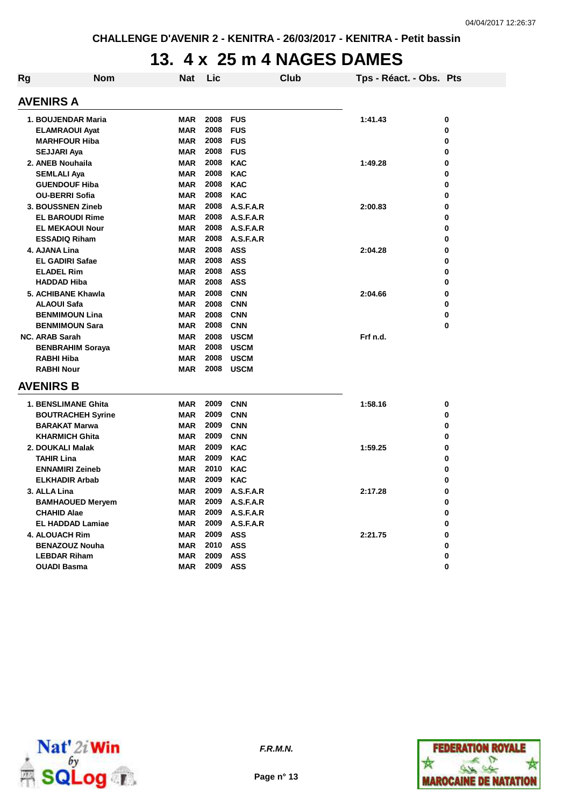## **13. 4 x 25 m 4 NAGES DAMES**

| <b>Rg</b>        | <b>Nom</b>               | Nat        | Lic      |                | Club | Tps - Réact. - Obs. Pts |   |  |  |  |  |
|------------------|--------------------------|------------|----------|----------------|------|-------------------------|---|--|--|--|--|
| <b>AVENIRS A</b> |                          |            |          |                |      |                         |   |  |  |  |  |
|                  | 1. BOUJENDAR Maria       | <b>MAR</b> | 2008     | <b>FUS</b>     |      | 1:41.43                 | 0 |  |  |  |  |
|                  | <b>ELAMRAOUI Ayat</b>    | <b>MAR</b> | 2008     | <b>FUS</b>     |      |                         | 0 |  |  |  |  |
|                  | <b>MARHFOUR Hiba</b>     | <b>MAR</b> | 2008     | <b>FUS</b>     |      |                         | 0 |  |  |  |  |
|                  | <b>SEJJARI Aya</b>       | <b>MAR</b> | 2008     | <b>FUS</b>     |      |                         | 0 |  |  |  |  |
|                  | 2. ANEB Nouhaila         | <b>MAR</b> | 2008     | <b>KAC</b>     |      | 1:49.28                 | 0 |  |  |  |  |
|                  | <b>SEMLALI Aya</b>       | <b>MAR</b> | 2008     | <b>KAC</b>     |      |                         | 0 |  |  |  |  |
|                  | <b>GUENDOUF Hiba</b>     | <b>MAR</b> | 2008     | <b>KAC</b>     |      |                         | 0 |  |  |  |  |
|                  | <b>OU-BERRI Sofia</b>    | <b>MAR</b> | 2008     | <b>KAC</b>     |      |                         | 0 |  |  |  |  |
|                  | 3. BOUSSNEN Zineb        | MAR        | 2008     | A.S.F.A.R      |      | 2:00.83                 | 0 |  |  |  |  |
|                  | <b>EL BAROUDI Rime</b>   | <b>MAR</b> | 2008     | A.S.F.A.R      |      |                         | 0 |  |  |  |  |
|                  | <b>EL MEKAOUI Nour</b>   | <b>MAR</b> | 2008     | A.S.F.A.R      |      |                         | 0 |  |  |  |  |
|                  | <b>ESSADIQ Riham</b>     | <b>MAR</b> | 2008     | A.S.F.A.R      |      |                         | 0 |  |  |  |  |
|                  | 4. AJANA Lina            | <b>MAR</b> | 2008     | <b>ASS</b>     |      | 2:04.28                 | 0 |  |  |  |  |
|                  | <b>EL GADIRI Safae</b>   | <b>MAR</b> | 2008     | <b>ASS</b>     |      |                         | 0 |  |  |  |  |
|                  | <b>ELADEL Rim</b>        | <b>MAR</b> | 2008     | <b>ASS</b>     |      |                         | 0 |  |  |  |  |
|                  | <b>HADDAD Hiba</b>       | <b>MAR</b> | 2008     | <b>ASS</b>     |      |                         | 0 |  |  |  |  |
|                  | 5. ACHIBANE Khawla       | <b>MAR</b> | 2008     | <b>CNN</b>     |      | 2:04.66                 | 0 |  |  |  |  |
|                  | <b>ALAOUI Safa</b>       | <b>MAR</b> | 2008     | <b>CNN</b>     |      |                         | 0 |  |  |  |  |
|                  | <b>BENMIMOUN Lina</b>    | <b>MAR</b> | 2008     | <b>CNN</b>     |      |                         | 0 |  |  |  |  |
|                  | <b>BENMIMOUN Sara</b>    | <b>MAR</b> | 2008     | <b>CNN</b>     |      |                         | 0 |  |  |  |  |
|                  | <b>NC. ARAB Sarah</b>    | <b>MAR</b> | 2008     | <b>USCM</b>    |      | Frf n.d.                |   |  |  |  |  |
|                  | <b>BENBRAHIM Soraya</b>  | <b>MAR</b> | 2008     | <b>USCM</b>    |      |                         |   |  |  |  |  |
|                  | RABHI Hiba               | <b>MAR</b> | 2008     | <b>USCM</b>    |      |                         |   |  |  |  |  |
|                  | <b>RABHI Nour</b>        | <b>MAR</b> | 2008     | <b>USCM</b>    |      |                         |   |  |  |  |  |
| <b>AVENIRS B</b> |                          |            |          |                |      |                         |   |  |  |  |  |
|                  | 1. BENSLIMANE Ghita      | <b>MAR</b> | 2009     | <b>CNN</b>     |      | 1:58.16                 | 0 |  |  |  |  |
|                  | <b>BOUTRACHEH Syrine</b> | MAR        | 2009     | <b>CNN</b>     |      |                         | 0 |  |  |  |  |
|                  | <b>BARAKAT Marwa</b>     | MAR        | 2009     | <b>CNN</b>     |      |                         | 0 |  |  |  |  |
|                  | <b>KHARMICH Ghita</b>    | MAR        | 2009     | <b>CNN</b>     |      |                         | 0 |  |  |  |  |
|                  | 2. DOUKALI Malak         | <b>MAR</b> | 2009     | <b>KAC</b>     |      | 1:59.25                 | 0 |  |  |  |  |
|                  | <b>TAHIR Lina</b>        | <b>MAR</b> | 2009     | <b>KAC</b>     |      |                         | 0 |  |  |  |  |
|                  | <b>ENNAMIRI Zeineb</b>   | <b>MAR</b> | 2010     | <b>KAC</b>     |      |                         | 0 |  |  |  |  |
|                  | <b>ELKHADIR Arbab</b>    | MAR        | 2009     | <b>KAC</b>     |      |                         | 0 |  |  |  |  |
|                  | 3. ALLA Lina             | <b>MAR</b> | 2009     | A.S.F.A.R      |      | 2:17.28                 | 0 |  |  |  |  |
|                  | <b>BAMHAOUED Meryem</b>  | MAR        |          | 2009 A.S.F.A.R |      |                         | o |  |  |  |  |
|                  | <b>CHAHID Alae</b>       | MAR        |          | 2009 A.S.F.A.R |      |                         | 0 |  |  |  |  |
|                  | <b>EL HADDAD Lamiae</b>  | MAR        |          | 2009 A.S.F.A.R |      |                         | 0 |  |  |  |  |
|                  | 4. ALOUACH Rim           | MAR        | 2009 ASS |                |      | 2:21.75                 | 0 |  |  |  |  |
|                  | <b>BENAZOUZ Nouha</b>    | MAR        | 2010 ASS |                |      |                         | 0 |  |  |  |  |
|                  | <b>LEBDAR Riham</b>      | MAR        | 2009     | <b>ASS</b>     |      |                         | 0 |  |  |  |  |
|                  | <b>OUADI Basma</b>       | MAR        | 2009     | <b>ASS</b>     |      |                         | 0 |  |  |  |  |
|                  |                          |            |          |                |      |                         |   |  |  |  |  |